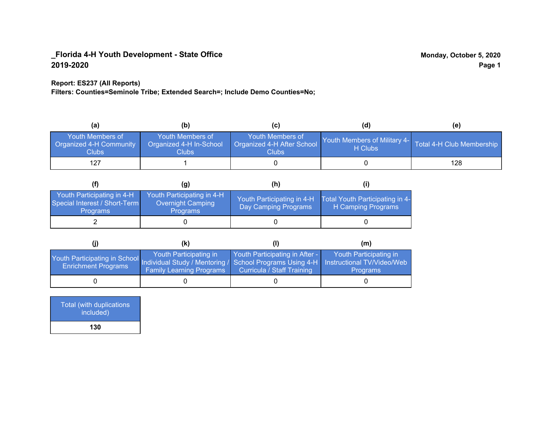### **Report: ES237 (All Reports)**

**Filters: Counties=Seminole Tribe; Extended Search=; Include Demo Counties=No;**

| (a)                                                               | (b)                                                  |                                                         | (d)                                     | (e)                       |
|-------------------------------------------------------------------|------------------------------------------------------|---------------------------------------------------------|-----------------------------------------|---------------------------|
| Youth Members of<br>Organized 4-H Community<br>Clubs <sup>1</sup> | Youth Members of<br>Organized 4-H In-School<br>Clubs | Youth Members of<br>Organized 4-H After School<br>Clubs | Youth Members of Military 4-<br>H Clubs | Total 4-H Club Membership |
| 127                                                               |                                                      |                                                         |                                         | 128                       |

|                                                                                | (g)                                                                       | (h)                                                |                                                       |
|--------------------------------------------------------------------------------|---------------------------------------------------------------------------|----------------------------------------------------|-------------------------------------------------------|
| Youth Participating in 4-H<br>Special Interest / Short-Term<br><b>Programs</b> | Youth Participating in 4-H<br><b>Overnight Camping</b><br><b>Programs</b> | Youth Participating in 4-H<br>Day Camping Programs | Total Youth Participating in 4-<br>H Camping Programs |
|                                                                                |                                                                           |                                                    |                                                       |

|                                                                                                                                                 | (k)                                                       |                                                              | (m)                                       |
|-------------------------------------------------------------------------------------------------------------------------------------------------|-----------------------------------------------------------|--------------------------------------------------------------|-------------------------------------------|
| Youth Participating in School Individual Study / Mentoring / School Programs Using 4-H Instructional TV/Video/Web<br><b>Enrichment Programs</b> | Youth Participating in<br><b>Family Learning Programs</b> | Youth Participating in After -<br>Curricula / Staff Training | Youth Participating in<br><b>Programs</b> |
|                                                                                                                                                 |                                                           |                                                              |                                           |

| <b>Total (with duplications)</b><br>included) |  |
|-----------------------------------------------|--|
| 130                                           |  |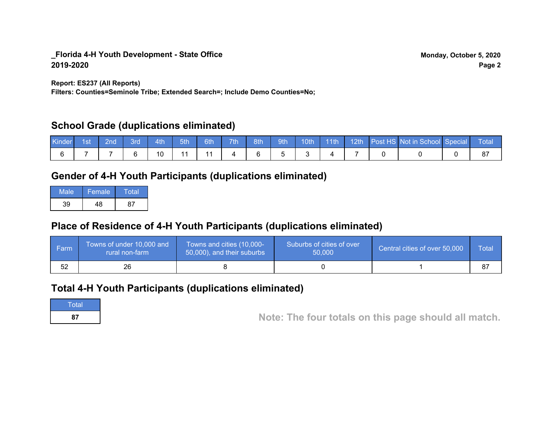**Report: ES237 (All Reports)**

**Filters: Counties=Seminole Tribe; Extended Search=; Include Demo Counties=No;**

# **School Grade (duplications eliminated)**

| Kinder <sup>1</sup> | 1st | 2nd' | 3rd. | 4th | $-5th$ | 6th | 7th | 8th | $-9th$ | 10th | $\sqrt{111}$ |  | 12th Post HS Not in School Special | <b>Total</b> |
|---------------------|-----|------|------|-----|--------|-----|-----|-----|--------|------|--------------|--|------------------------------------|--------------|
|                     |     |      |      | 10  |        |     |     |     |        |      |              |  |                                    |              |

# **Gender of 4-H Youth Participants (duplications eliminated)**

| Male | Female | Total |
|------|--------|-------|
| 39   | ه،     |       |

# **Place of Residence of 4-H Youth Participants (duplications eliminated)**

| ∣ Farm | Towns of under 10,000 and<br>rural non-farm | Towns and cities (10,000-<br>50,000), and their suburbs | Suburbs of cities of over<br>50,000 | Central cities of over 50,000 | Total |
|--------|---------------------------------------------|---------------------------------------------------------|-------------------------------------|-------------------------------|-------|
| 52     | 26                                          |                                                         |                                     |                               |       |

# **Total 4-H Youth Participants (duplications eliminated)**

**Total** 

**<sup>87</sup> Note: The four totals on this page should all match.**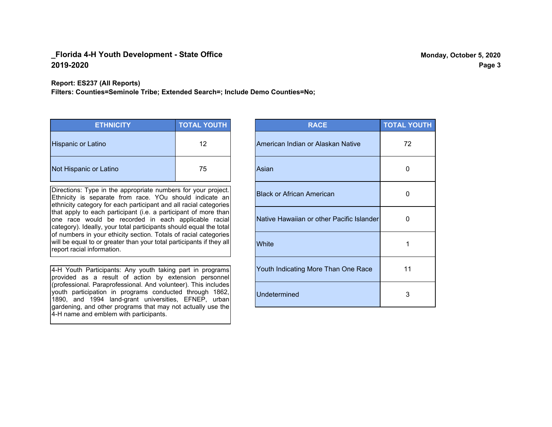#### **Report: ES237 (All Reports)**

**Filters: Counties=Seminole Tribe; Extended Search=; Include Demo Counties=No;**

| <b>ETHNICITY</b>          | <b>TOTAL YOUTH</b> |
|---------------------------|--------------------|
| <b>Hispanic or Latino</b> | 12                 |
| Not Hispanic or Latino    | 75                 |

Directions: Type in the appropriate numbers for your project. Ethnicity is separate from race. YOu should indicate an ethnicity category for each participant and all racial categories that apply to each participant (i.e. a participant of more than one race would be recorded in each applicable racial category). Ideally, your total participants should equal the total of numbers in your ethicity section. Totals of racial categories will be equal to or greater than your total participants if they all report racial information.

4-H Youth Participants: Any youth taking part in programs provided as a result of action by extension personnel (professional. Paraprofessional. And volunteer). This includes youth participation in programs conducted through 1862, 1890, and 1994 land-grant universities, EFNEP, urban gardening, and other programs that may not actually use the 4-H name and emblem with participants.

| <b>RACE</b>                               | <b>TOTAL YOUTH</b> |
|-------------------------------------------|--------------------|
| American Indian or Alaskan Native         | 72                 |
| Asian                                     | 0                  |
| <b>Black or African American</b>          | O                  |
| Native Hawaiian or other Pacific Islander | 0                  |
| White                                     | 1                  |
| Youth Indicating More Than One Race       | 11                 |
| <b>Undetermined</b>                       | 3                  |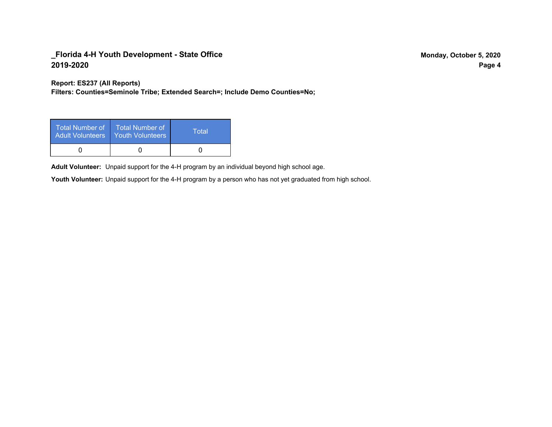**Report: ES237 (All Reports)**

**Filters: Counties=Seminole Tribe; Extended Search=; Include Demo Counties=No;**

| Total Number of<br><b>Adult Volunteers</b> | <b>Total Number of</b><br>Youth Volunteers | Total |
|--------------------------------------------|--------------------------------------------|-------|
|                                            |                                            |       |

Adult Volunteer: Unpaid support for the 4-H program by an individual beyond high school age.

Youth Volunteer: Unpaid support for the 4-H program by a person who has not yet graduated from high school.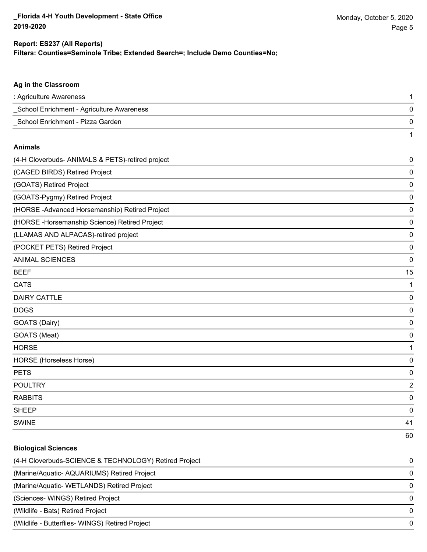### **Filters: Counties=Seminole Tribe; Extended Search=; Include Demo Counties=No; Report: ES237 (All Reports)**

| : Agriculture Awareness                   |  |
|-------------------------------------------|--|
| School Enrichment - Agriculture Awareness |  |
| School Enrichment - Pizza Garden          |  |
|                                           |  |

#### **Animals**

| (4-H Cloverbuds- ANIMALS & PETS)-retired project | 0  |
|--------------------------------------------------|----|
| (CAGED BIRDS) Retired Project                    | 0  |
| (GOATS) Retired Project                          | 0  |
| (GOATS-Pygmy) Retired Project                    | 0  |
| (HORSE - Advanced Horsemanship) Retired Project  | 0  |
| (HORSE - Horsemanship Science) Retired Project   | 0  |
| (LLAMAS AND ALPACAS)-retired project             | 0  |
| (POCKET PETS) Retired Project                    | 0  |
| <b>ANIMAL SCIENCES</b>                           | 0  |
| <b>BEEF</b>                                      | 15 |
| <b>CATS</b>                                      | 1  |
| <b>DAIRY CATTLE</b>                              | 0  |
| <b>DOGS</b>                                      | 0  |
| GOATS (Dairy)                                    | 0  |
| GOATS (Meat)                                     | 0  |
| <b>HORSE</b>                                     | 1  |
| HORSE (Horseless Horse)                          | 0  |
| <b>PETS</b>                                      | 0  |
| <b>POULTRY</b>                                   | 2  |
| <b>RABBITS</b>                                   | 0  |
| <b>SHEEP</b>                                     | 0  |
| <b>SWINE</b>                                     | 41 |
|                                                  | 60 |

# **Biological Sciences**

| (4-H Cloverbuds-SCIENCE & TECHNOLOGY) Retired Project | $\Omega$     |
|-------------------------------------------------------|--------------|
| (Marine/Aquatic-AQUARIUMS) Retired Project            |              |
| (Marine/Aquatic-WETLANDS) Retired Project             | <sup>0</sup> |
| (Sciences- WINGS) Retired Project                     |              |
| (Wildlife - Bats) Retired Project                     | <sup>0</sup> |
| (Wildlife - Butterflies- WINGS) Retired Project       |              |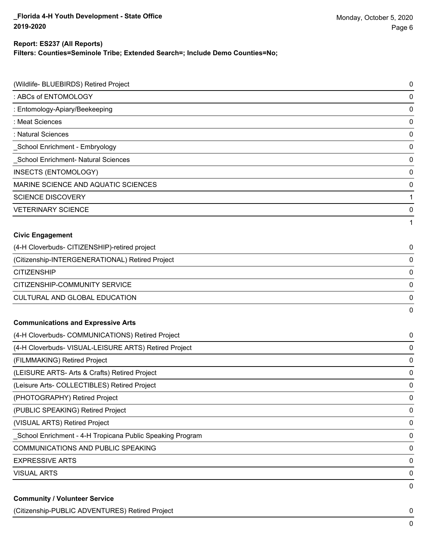### **Report: ES237 (All Reports)**

**Filters: Counties=Seminole Tribe; Extended Search=; Include Demo Counties=No;**

| (Wildlife- BLUEBIRDS) Retired Project                      | $\mathbf 0$ |
|------------------------------------------------------------|-------------|
| : ABCs of ENTOMOLOGY                                       | 0           |
| : Entomology-Apiary/Beekeeping                             | 0           |
| : Meat Sciences                                            | 0           |
| : Natural Sciences                                         | 0           |
| _School Enrichment - Embryology                            | 0           |
| _School Enrichment- Natural Sciences                       | 0           |
| INSECTS (ENTOMOLOGY)                                       | 0           |
| MARINE SCIENCE AND AQUATIC SCIENCES                        | 0           |
| <b>SCIENCE DISCOVERY</b>                                   | 1           |
| <b>VETERINARY SCIENCE</b>                                  | 0           |
|                                                            | 1           |
| <b>Civic Engagement</b>                                    |             |
| (4-H Cloverbuds- CITIZENSHIP)-retired project              | 0           |
| (Citizenship-INTERGENERATIONAL) Retired Project            | 0           |
| <b>CITIZENSHIP</b>                                         | 0           |
| CITIZENSHIP-COMMUNITY SERVICE                              | 0           |
| CULTURAL AND GLOBAL EDUCATION                              | 0           |
|                                                            | 0           |
| <b>Communications and Expressive Arts</b>                  |             |
| (4-H Cloverbuds- COMMUNICATIONS) Retired Project           | 0           |
| (4-H Cloverbuds- VISUAL-LEISURE ARTS) Retired Project      | 0           |
| (FILMMAKING) Retired Project                               | 0           |
| (LEISURE ARTS- Arts & Crafts) Retired Project              | 0           |
| (Leisure Arts- COLLECTIBLES) Retired Project               | 0           |
| (PHOTOGRAPHY) Retired Project                              | $\mathbf 0$ |
| (PUBLIC SPEAKING) Retired Project                          | $\mathbf 0$ |
| (VISUAL ARTS) Retired Project                              | $\mathbf 0$ |
| _School Enrichment - 4-H Tropicana Public Speaking Program | $\mathbf 0$ |
| COMMUNICATIONS AND PUBLIC SPEAKING                         | $\mathbf 0$ |
| <b>EXPRESSIVE ARTS</b>                                     | $\mathbf 0$ |
| <b>VISUAL ARTS</b>                                         | 0           |
| <b>Community / Volunteer Service</b>                       | 0           |

(Citizenship-PUBLIC ADVENTURES) Retired Project 0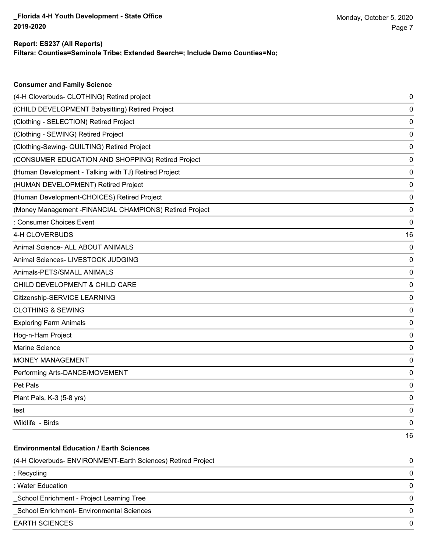## **Report: ES237 (All Reports)**

**Consumer and Family Science**

**Filters: Counties=Seminole Tribe; Extended Search=; Include Demo Counties=No;**

| (4-H Cloverbuds- CLOTHING) Retired project                   | 0  |
|--------------------------------------------------------------|----|
| (CHILD DEVELOPMENT Babysitting) Retired Project              | 0  |
| (Clothing - SELECTION) Retired Project                       | 0  |
| (Clothing - SEWING) Retired Project                          | 0  |
| (Clothing-Sewing- QUILTING) Retired Project                  | 0  |
| (CONSUMER EDUCATION AND SHOPPING) Retired Project            | 0  |
| (Human Development - Talking with TJ) Retired Project        | 0  |
| (HUMAN DEVELOPMENT) Retired Project                          | 0  |
| (Human Development-CHOICES) Retired Project                  | 0  |
| (Money Management -FINANCIAL CHAMPIONS) Retired Project      | 0  |
| : Consumer Choices Event                                     | 0  |
| 4-H CLOVERBUDS                                               | 16 |
| Animal Science- ALL ABOUT ANIMALS                            | 0  |
| Animal Sciences- LIVESTOCK JUDGING                           | 0  |
| Animals-PETS/SMALL ANIMALS                                   | 0  |
| CHILD DEVELOPMENT & CHILD CARE                               | 0  |
| Citizenship-SERVICE LEARNING                                 | 0  |
| <b>CLOTHING &amp; SEWING</b>                                 | 0  |
| <b>Exploring Farm Animals</b>                                | 0  |
| Hog-n-Ham Project                                            | 0  |
| <b>Marine Science</b>                                        | 0  |
| <b>MONEY MANAGEMENT</b>                                      | 0  |
| Performing Arts-DANCE/MOVEMENT                               | 0  |
| Pet Pals                                                     | 0  |
| Plant Pals, K-3 (5-8 yrs)                                    | 0  |
| test                                                         | 0  |
| Wildlife - Birds                                             | 0  |
|                                                              | 16 |
| <b>Environmental Education / Earth Sciences</b>              |    |
| (4-H Cloverbuds- ENVIRONMENT-Earth Sciences) Retired Project | 0  |
| : Recycling                                                  | 0  |
| : Water Education                                            | 0  |
| School Enrichment - Project Learning Tree                    | 0  |
| School Enrichment- Environmental Sciences                    | 0  |
| <b>EARTH SCIENCES</b>                                        | 0  |
|                                                              |    |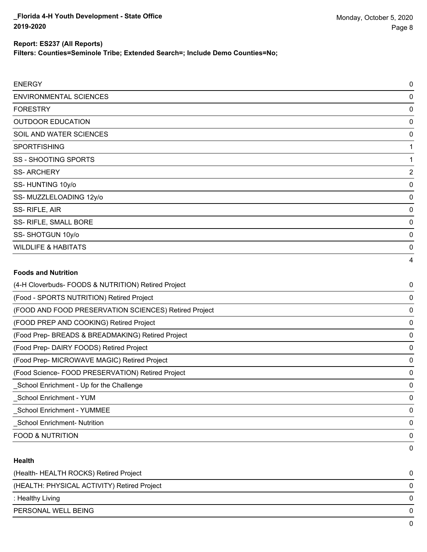**Filters: Counties=Seminole Tribe; Extended Search=; Include Demo Counties=No;**

| <b>ENERGY</b>                                         | 0              |
|-------------------------------------------------------|----------------|
| <b>ENVIRONMENTAL SCIENCES</b>                         | 0              |
| <b>FORESTRY</b>                                       | 0              |
| <b>OUTDOOR EDUCATION</b>                              | 0              |
| SOIL AND WATER SCIENCES                               | 0              |
| <b>SPORTFISHING</b>                                   | 1              |
| <b>SS - SHOOTING SPORTS</b>                           | 1              |
| <b>SS-ARCHERY</b>                                     | $\overline{a}$ |
| SS-HUNTING 10y/o                                      | 0              |
| SS- MUZZLELOADING 12y/o                               | 0              |
| SS-RIFLE, AIR                                         | 0              |
| SS- RIFLE, SMALL BORE                                 | 0              |
| SS-SHOTGUN 10y/o                                      | 0              |
| <b>WILDLIFE &amp; HABITATS</b>                        | 0              |
|                                                       | 4              |
| <b>Foods and Nutrition</b>                            |                |
| (4-H Cloverbuds- FOODS & NUTRITION) Retired Project   | 0              |
| (Food - SPORTS NUTRITION) Retired Project             | 0              |
| (FOOD AND FOOD PRESERVATION SCIENCES) Retired Project | 0              |
| (FOOD PREP AND COOKING) Retired Project               | 0              |
| (Food Prep- BREADS & BREADMAKING) Retired Project     | 0              |
| (Food Prep- DAIRY FOODS) Retired Project              | 0              |
| (Food Prep- MICROWAVE MAGIC) Retired Project          | 0              |
| (Food Science- FOOD PRESERVATION) Retired Project     | 0              |
| School Enrichment - Up for the Challenge              | 0              |
| <b>School Enrichment - YUM</b>                        | 0              |
| <b>School Enrichment - YUMMEE</b>                     | 0              |
| <b>School Enrichment- Nutrition</b>                   | 0              |

FOOD & NUTRITION 0

## **Health**

| (Health- HEALTH ROCKS) Retired Project      |   |
|---------------------------------------------|---|
| (HEALTH: PHYSICAL ACTIVITY) Retired Project | 0 |
| : Healthy Living                            | 0 |
| PERSONAL WELL BEING                         |   |
|                                             |   |

0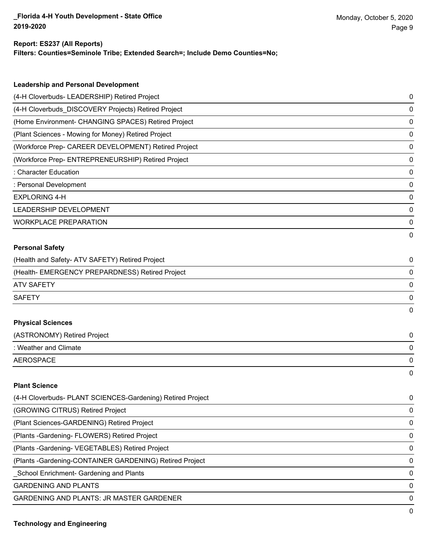#### **Report: ES237 (All Reports)**

**Filters: Counties=Seminole Tribe; Extended Search=; Include Demo Counties=No;**

| <b>Leadership and Personal Development</b>                 |   |
|------------------------------------------------------------|---|
| (4-H Cloverbuds- LEADERSHIP) Retired Project               | 0 |
| (4-H Cloverbuds_DISCOVERY Projects) Retired Project        | 0 |
| (Home Environment- CHANGING SPACES) Retired Project        | 0 |
| (Plant Sciences - Mowing for Money) Retired Project        | 0 |
| (Workforce Prep- CAREER DEVELOPMENT) Retired Project       | 0 |
| (Workforce Prep- ENTREPRENEURSHIP) Retired Project         | 0 |
| : Character Education                                      | 0 |
| : Personal Development                                     | 0 |
| <b>EXPLORING 4-H</b>                                       | 0 |
| <b>LEADERSHIP DEVELOPMENT</b>                              | 0 |
| <b>WORKPLACE PREPARATION</b>                               | 0 |
|                                                            | 0 |
| <b>Personal Safety</b>                                     |   |
| (Health and Safety- ATV SAFETY) Retired Project            | 0 |
| (Health- EMERGENCY PREPARDNESS) Retired Project            | 0 |
| <b>ATV SAFETY</b>                                          | 0 |
| <b>SAFETY</b>                                              | 0 |
|                                                            | 0 |
| <b>Physical Sciences</b>                                   |   |
| (ASTRONOMY) Retired Project                                | 0 |
| : Weather and Climate                                      | 0 |
| <b>AEROSPACE</b>                                           | 0 |
|                                                            | 0 |
| <b>Plant Science</b>                                       |   |
| (4-H Cloverbuds- PLANT SCIENCES-Gardening) Retired Project | 0 |

| (GROWING CITRUS) Retired Project                         | 0        |
|----------------------------------------------------------|----------|
| (Plant Sciences-GARDENING) Retired Project               | $\Omega$ |
| (Plants - Gardening - FLOWERS) Retired Project           | $\Omega$ |
| (Plants - Gardening - VEGETABLES) Retired Project        | $\Omega$ |
| (Plants - Gardening-CONTAINER GARDENING) Retired Project | $\Omega$ |
| _School Enrichment- Gardening and Plants                 | $\Omega$ |
| <b>GARDENING AND PLANTS</b>                              | $\Omega$ |
| <b>GARDENING AND PLANTS: JR MASTER GARDENER</b>          | $\Omega$ |
|                                                          | 0        |